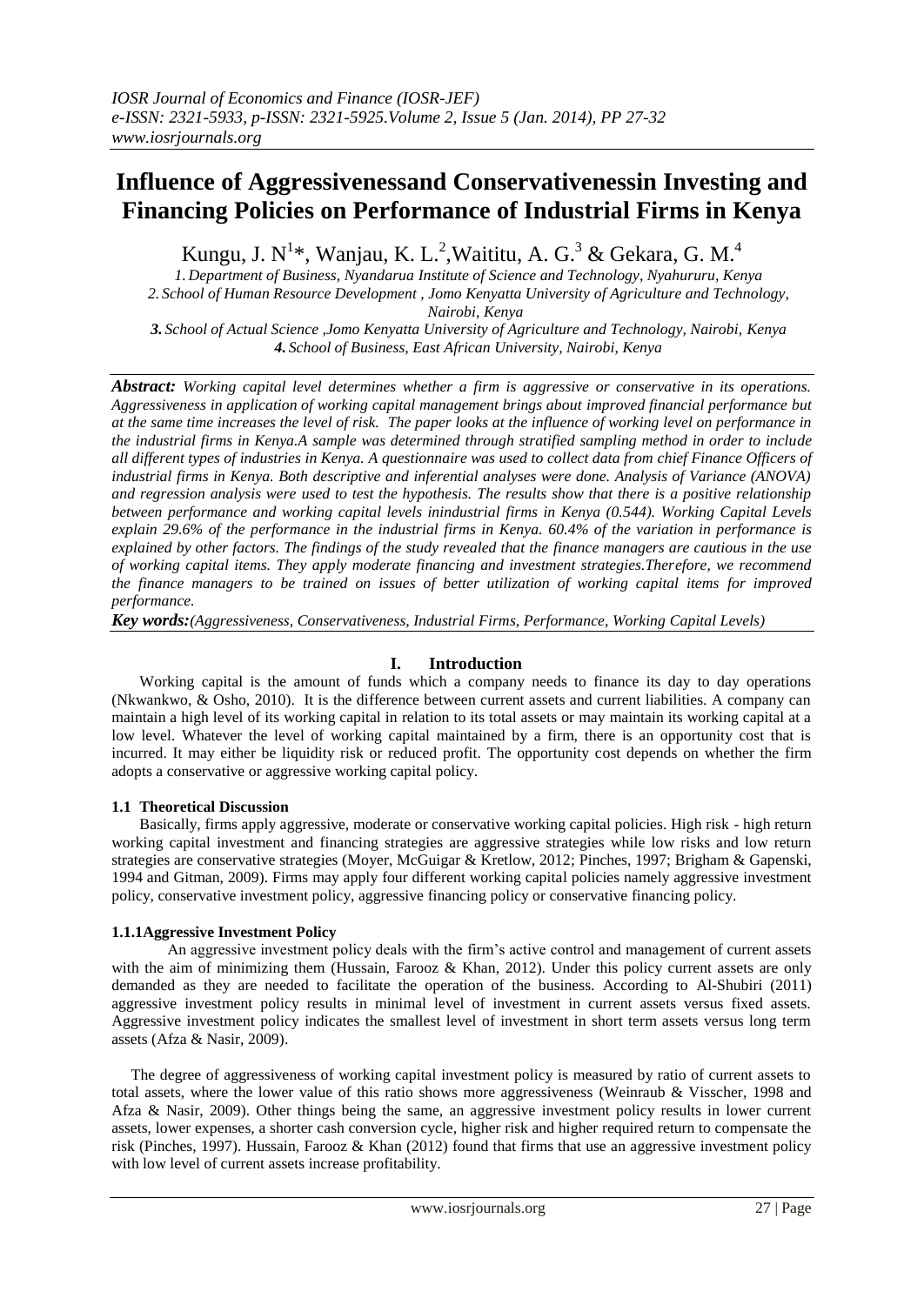# **Influence of Aggressivenessand Conservativenessin Investing and Financing Policies on Performance of Industrial Firms in Kenya**

Kungu, J. N<sup>1\*</sup>, Wanjau, K. L.<sup>2</sup>, Waititu, A. G.<sup>3</sup> & Gekara, G. M.<sup>4</sup>

*1. Department of Business, Nyandarua Institute of Science and Technology, Nyahururu, Kenya 2. School of Human Resource Development , Jomo Kenyatta University of Agriculture and Technology, Nairobi, Kenya*

*3. School of Actual Science ,Jomo Kenyatta University of Agriculture and Technology, Nairobi, Kenya 4. School of Business, East African University, Nairobi, Kenya*

*Abstract: Working capital level determines whether a firm is aggressive or conservative in its operations. Aggressiveness in application of working capital management brings about improved financial performance but at the same time increases the level of risk. The paper looks at the influence of working level on performance in the industrial firms in Kenya.A sample was determined through stratified sampling method in order to include all different types of industries in Kenya. A questionnaire was used to collect data from chief Finance Officers of industrial firms in Kenya. Both descriptive and inferential analyses were done. Analysis of Variance (ANOVA) and regression analysis were used to test the hypothesis. The results show that there is a positive relationship between performance and working capital levels inindustrial firms in Kenya (0.544). Working Capital Levels explain 29.6% of the performance in the industrial firms in Kenya. 60.4% of the variation in performance is explained by other factors. The findings of the study revealed that the finance managers are cautious in the use of working capital items. They apply moderate financing and investment strategies.Therefore, we recommend the finance managers to be trained on issues of better utilization of working capital items for improved performance.* 

*Key words:(Aggressiveness, Conservativeness, Industrial Firms, Performance, Working Capital Levels)*

## **I. Introduction**

Working capital is the amount of funds which a company needs to finance its day to day operations (Nkwankwo, & Osho, 2010). It is the difference between current assets and current liabilities. A company can maintain a high level of its working capital in relation to its total assets or may maintain its working capital at a low level. Whatever the level of working capital maintained by a firm, there is an opportunity cost that is incurred. It may either be liquidity risk or reduced profit. The opportunity cost depends on whether the firm adopts a conservative or aggressive working capital policy.

## **1.1 Theoretical Discussion**

Basically, firms apply aggressive, moderate or conservative working capital policies. High risk - high return working capital investment and financing strategies are aggressive strategies while low risks and low return strategies are conservative strategies (Moyer, McGuigar & Kretlow, 2012; Pinches, 1997; Brigham & Gapenski, 1994 and Gitman, 2009). Firms may apply four different working capital policies namely aggressive investment policy, conservative investment policy, aggressive financing policy or conservative financing policy.

## **1.1.1Aggressive Investment Policy**

An aggressive investment policy deals with the firm's active control and management of current assets with the aim of minimizing them (Hussain, Farooz & Khan, 2012). Under this policy current assets are only demanded as they are needed to facilitate the operation of the business. According to Al-Shubiri (2011) aggressive investment policy results in minimal level of investment in current assets versus fixed assets. Aggressive investment policy indicates the smallest level of investment in short term assets versus long term assets (Afza & Nasir, 2009).

 The degree of aggressiveness of working capital investment policy is measured by ratio of current assets to total assets, where the lower value of this ratio shows more aggressiveness (Weinraub & Visscher, 1998 and Afza & Nasir, 2009). Other things being the same, an aggressive investment policy results in lower current assets, lower expenses, a shorter cash conversion cycle, higher risk and higher required return to compensate the risk (Pinches, 1997). Hussain, Farooz & Khan (2012) found that firms that use an aggressive investment policy with low level of current assets increase profitability.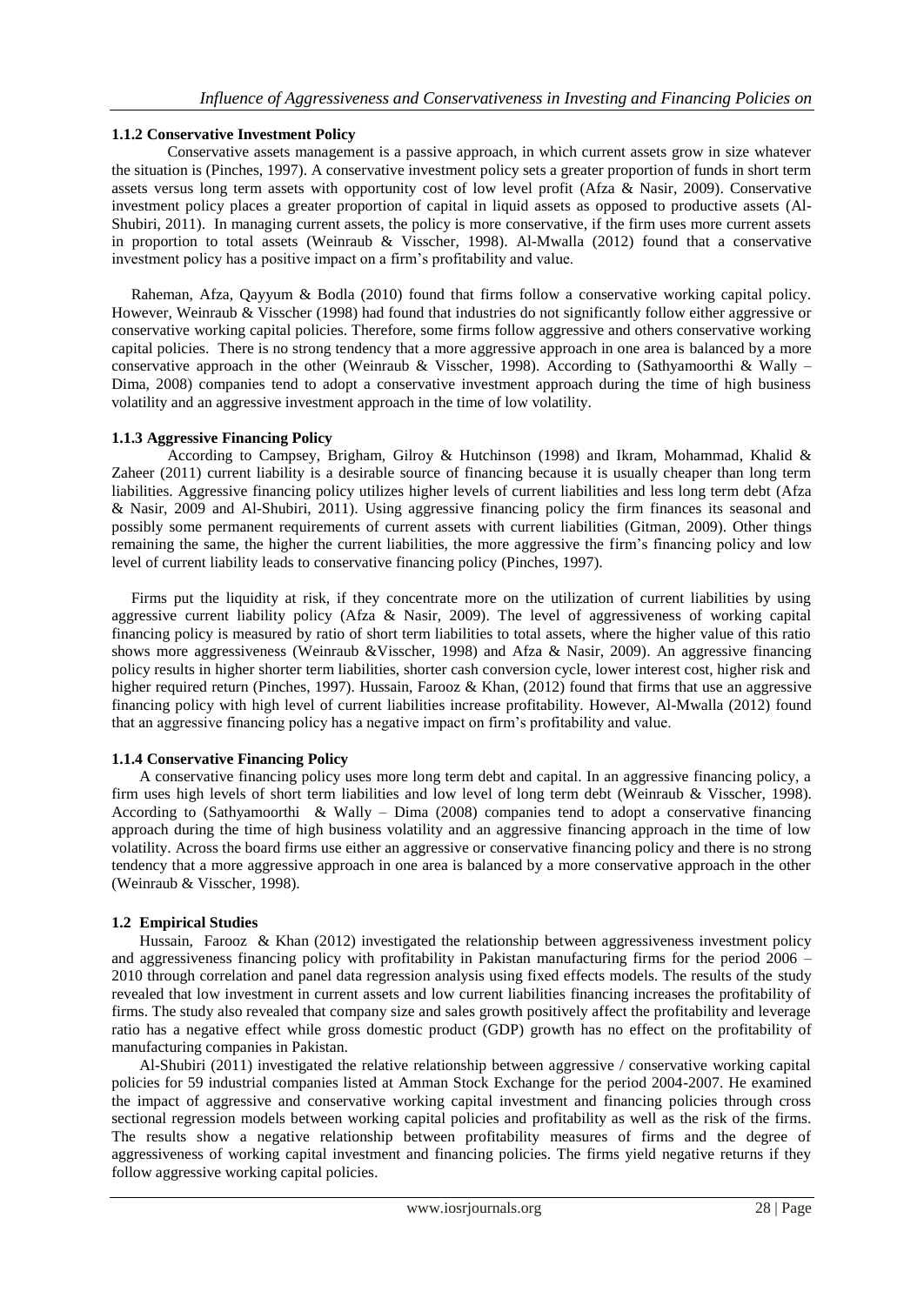#### **1.1.2 Conservative Investment Policy**

Conservative assets management is a passive approach, in which current assets grow in size whatever the situation is (Pinches, 1997). A conservative investment policy sets a greater proportion of funds in short term assets versus long term assets with opportunity cost of low level profit (Afza & Nasir, 2009). Conservative investment policy places a greater proportion of capital in liquid assets as opposed to productive assets (Al-Shubiri, 2011). In managing current assets, the policy is more conservative, if the firm uses more current assets in proportion to total assets (Weinraub & Visscher, 1998). Al-Mwalla (2012) found that a conservative investment policy has a positive impact on a firm's profitability and value.

 Raheman, Afza, Qayyum & Bodla (2010) found that firms follow a conservative working capital policy. However, Weinraub & Visscher (1998) had found that industries do not significantly follow either aggressive or conservative working capital policies. Therefore, some firms follow aggressive and others conservative working capital policies. There is no strong tendency that a more aggressive approach in one area is balanced by a more conservative approach in the other (Weinraub & Visscher, 1998). According to (Sathyamoorthi & Wally – Dima, 2008) companies tend to adopt a conservative investment approach during the time of high business volatility and an aggressive investment approach in the time of low volatility.

#### **1.1.3 Aggressive Financing Policy**

According to Campsey, Brigham, Gilroy & Hutchinson (1998) and Ikram, Mohammad, Khalid & Zaheer (2011) current liability is a desirable source of financing because it is usually cheaper than long term liabilities. Aggressive financing policy utilizes higher levels of current liabilities and less long term debt (Afza & Nasir, 2009 and Al-Shubiri, 2011). Using aggressive financing policy the firm finances its seasonal and possibly some permanent requirements of current assets with current liabilities (Gitman, 2009). Other things remaining the same, the higher the current liabilities, the more aggressive the firm's financing policy and low level of current liability leads to conservative financing policy (Pinches, 1997).

 Firms put the liquidity at risk, if they concentrate more on the utilization of current liabilities by using aggressive current liability policy (Afza & Nasir, 2009). The level of aggressiveness of working capital financing policy is measured by ratio of short term liabilities to total assets, where the higher value of this ratio shows more aggressiveness (Weinraub &Visscher, 1998) and Afza & Nasir, 2009). An aggressive financing policy results in higher shorter term liabilities, shorter cash conversion cycle, lower interest cost, higher risk and higher required return (Pinches, 1997). Hussain, Farooz & Khan, (2012) found that firms that use an aggressive financing policy with high level of current liabilities increase profitability. However, Al-Mwalla (2012) found that an aggressive financing policy has a negative impact on firm's profitability and value.

## **1.1.4 Conservative Financing Policy**

A conservative financing policy uses more long term debt and capital. In an aggressive financing policy, a firm uses high levels of short term liabilities and low level of long term debt (Weinraub & Visscher, 1998). According to (Sathyamoorthi & Wally – Dima (2008) companies tend to adopt a conservative financing approach during the time of high business volatility and an aggressive financing approach in the time of low volatility. Across the board firms use either an aggressive or conservative financing policy and there is no strong tendency that a more aggressive approach in one area is balanced by a more conservative approach in the other (Weinraub & Visscher, 1998).

## **1.2 Empirical Studies**

Hussain, Farooz & Khan (2012) investigated the relationship between aggressiveness investment policy and aggressiveness financing policy with profitability in Pakistan manufacturing firms for the period 2006 – 2010 through correlation and panel data regression analysis using fixed effects models. The results of the study revealed that low investment in current assets and low current liabilities financing increases the profitability of firms. The study also revealed that company size and sales growth positively affect the profitability and leverage ratio has a negative effect while gross domestic product (GDP) growth has no effect on the profitability of manufacturing companies in Pakistan.

Al-Shubiri (2011) investigated the relative relationship between aggressive / conservative working capital policies for 59 industrial companies listed at Amman Stock Exchange for the period 2004-2007. He examined the impact of aggressive and conservative working capital investment and financing policies through cross sectional regression models between working capital policies and profitability as well as the risk of the firms. The results show a negative relationship between profitability measures of firms and the degree of aggressiveness of working capital investment and financing policies. The firms yield negative returns if they follow aggressive working capital policies.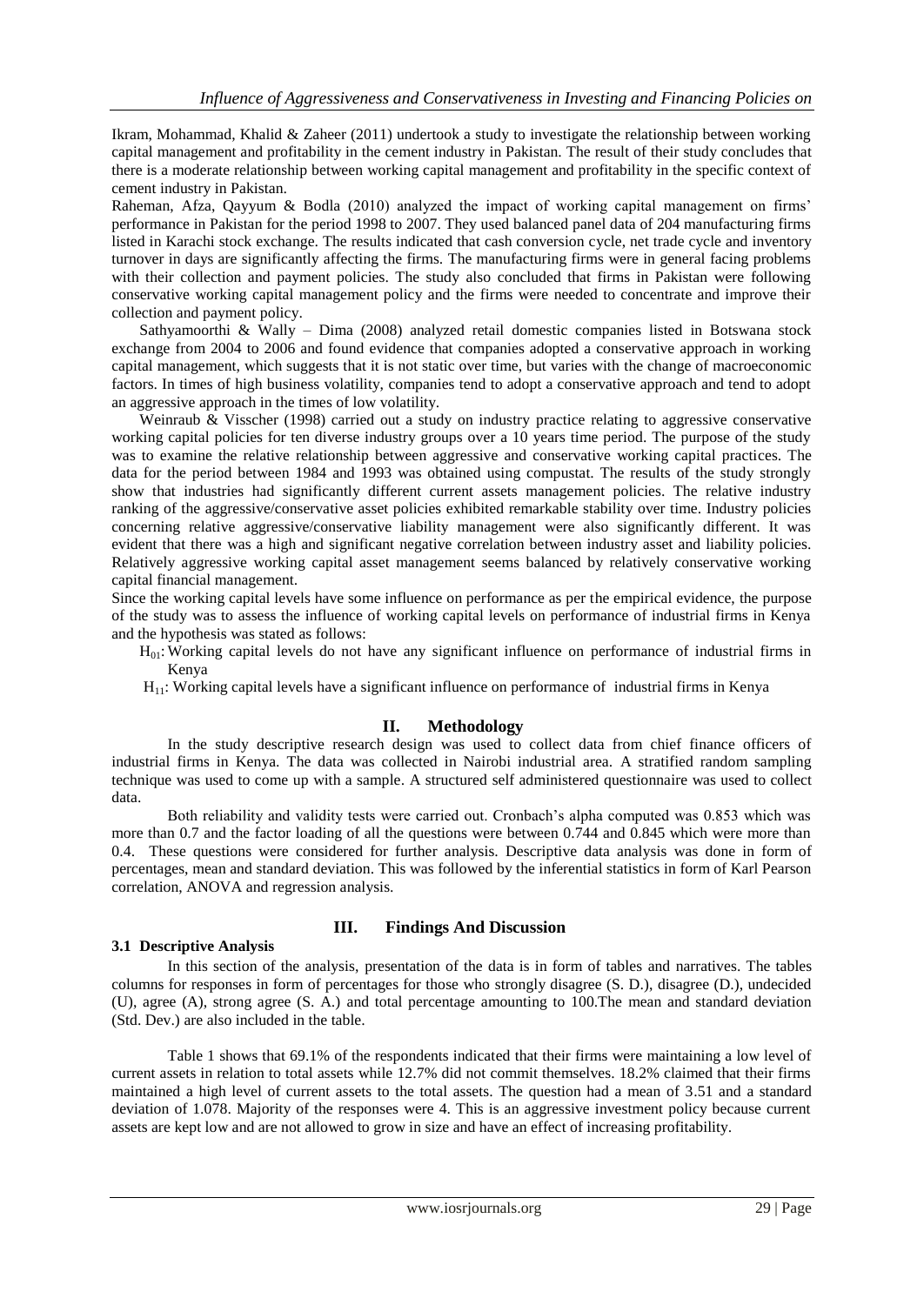Ikram, Mohammad, Khalid & Zaheer (2011) undertook a study to investigate the relationship between working capital management and profitability in the cement industry in Pakistan. The result of their study concludes that there is a moderate relationship between working capital management and profitability in the specific context of cement industry in Pakistan.

Raheman, Afza, Qayyum & Bodla (2010) analyzed the impact of working capital management on firms' performance in Pakistan for the period 1998 to 2007. They used balanced panel data of 204 manufacturing firms listed in Karachi stock exchange. The results indicated that cash conversion cycle, net trade cycle and inventory turnover in days are significantly affecting the firms. The manufacturing firms were in general facing problems with their collection and payment policies. The study also concluded that firms in Pakistan were following conservative working capital management policy and the firms were needed to concentrate and improve their collection and payment policy.

Sathyamoorthi & Wally – Dima (2008) analyzed retail domestic companies listed in Botswana stock exchange from 2004 to 2006 and found evidence that companies adopted a conservative approach in working capital management, which suggests that it is not static over time, but varies with the change of macroeconomic factors. In times of high business volatility, companies tend to adopt a conservative approach and tend to adopt an aggressive approach in the times of low volatility.

Weinraub & Visscher (1998) carried out a study on industry practice relating to aggressive conservative working capital policies for ten diverse industry groups over a 10 years time period. The purpose of the study was to examine the relative relationship between aggressive and conservative working capital practices. The data for the period between 1984 and 1993 was obtained using compustat. The results of the study strongly show that industries had significantly different current assets management policies. The relative industry ranking of the aggressive/conservative asset policies exhibited remarkable stability over time. Industry policies concerning relative aggressive/conservative liability management were also significantly different. It was evident that there was a high and significant negative correlation between industry asset and liability policies. Relatively aggressive working capital asset management seems balanced by relatively conservative working capital financial management.

Since the working capital levels have some influence on performance as per the empirical evidence, the purpose of the study was to assess the influence of working capital levels on performance of industrial firms in Kenya and the hypothesis was stated as follows:

- $H<sub>01</sub>$ : Working capital levels do not have any significant influence on performance of industrial firms in Kenya
- $H<sub>11</sub>$ : Working capital levels have a significant influence on performance of industrial firms in Kenya

## **II. Methodology**

In the study descriptive research design was used to collect data from chief finance officers of industrial firms in Kenya. The data was collected in Nairobi industrial area. A stratified random sampling technique was used to come up with a sample. A structured self administered questionnaire was used to collect data.

Both reliability and validity tests were carried out. Cronbach's alpha computed was 0.853 which was more than 0.7 and the factor loading of all the questions were between 0.744 and 0.845 which were more than 0.4. These questions were considered for further analysis. Descriptive data analysis was done in form of percentages, mean and standard deviation. This was followed by the inferential statistics in form of Karl Pearson correlation, ANOVA and regression analysis.

#### **3.1 Descriptive Analysis**

## **III. Findings And Discussion**

In this section of the analysis, presentation of the data is in form of tables and narratives. The tables columns for responses in form of percentages for those who strongly disagree (S. D.), disagree (D.), undecided (U), agree (A), strong agree (S. A.) and total percentage amounting to 100.The mean and standard deviation (Std. Dev.) are also included in the table.

Table 1 shows that 69.1% of the respondents indicated that their firms were maintaining a low level of current assets in relation to total assets while 12.7% did not commit themselves. 18.2% claimed that their firms maintained a high level of current assets to the total assets. The question had a mean of 3.51 and a standard deviation of 1.078. Majority of the responses were 4. This is an aggressive investment policy because current assets are kept low and are not allowed to grow in size and have an effect of increasing profitability.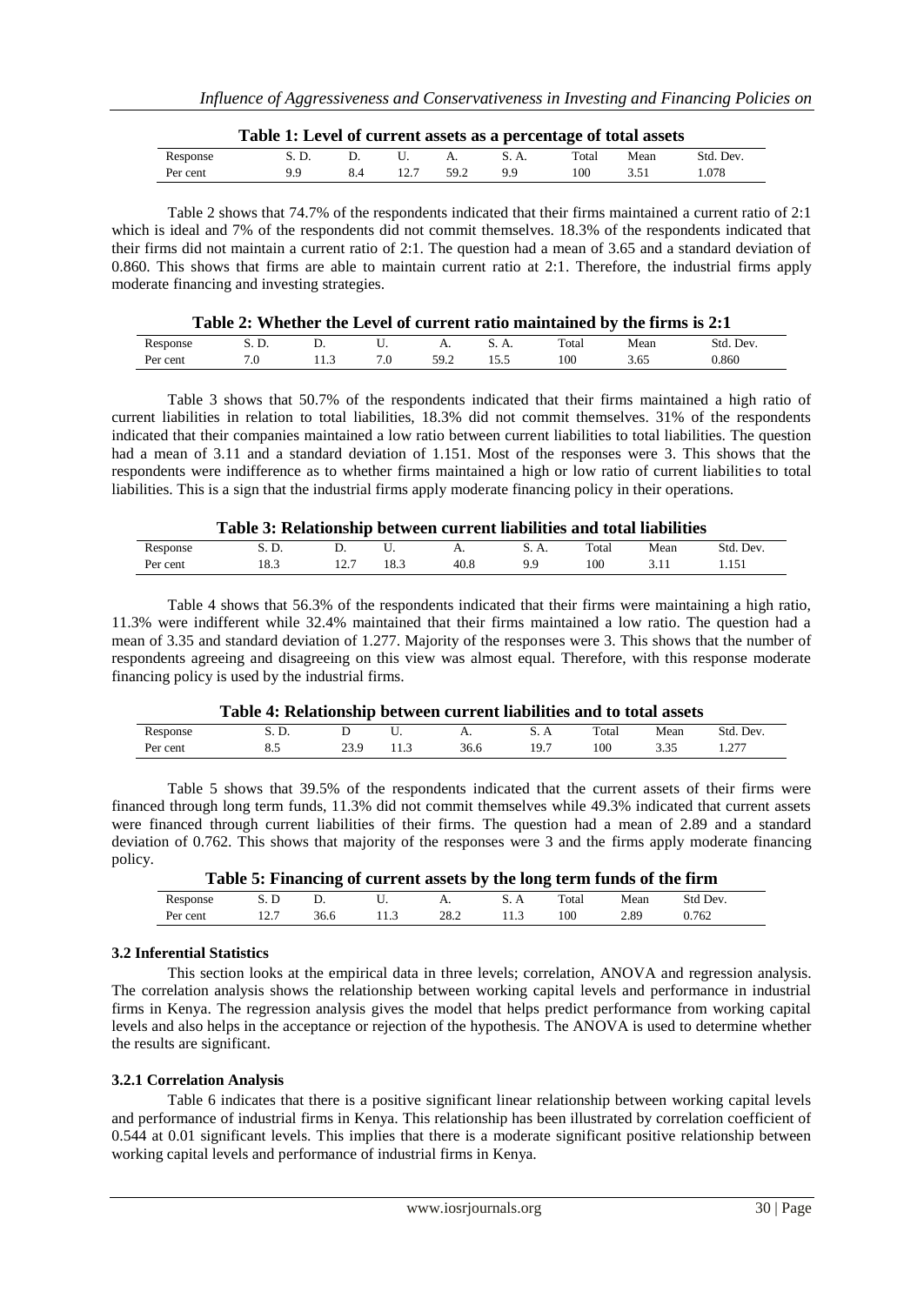|          | Table 1: Level of current assets as a percentage of total assets |    |    |      |       |       |      |           |
|----------|------------------------------------------------------------------|----|----|------|-------|-------|------|-----------|
| Response | S.D.                                                             |    | U. |      | S. A. | Total | Mean | Std. Dev. |
| Per cent | 99.                                                              | 84 |    | 59.2 | 99    | 100.  | 3.51 | 1.078     |

Table 2 shows that 74.7% of the respondents indicated that their firms maintained a current ratio of 2:1 which is ideal and 7% of the respondents did not commit themselves. 18.3% of the respondents indicated that their firms did not maintain a current ratio of 2:1. The question had a mean of 3.65 and a standard deviation of 0.860. This shows that firms are able to maintain current ratio at 2:1. Therefore, the industrial firms apply moderate financing and investing strategies.

|          |        |  |      |      | Table 2: Whether the Level of current ratio maintained by the firms is 2:1 |      |           |
|----------|--------|--|------|------|----------------------------------------------------------------------------|------|-----------|
| Response | -S. D. |  | A.   | S.A. | Total                                                                      | Mean | Std. Dev. |
| Per cent |        |  | 59.2 | 155  | 100                                                                        | 3.65 | 0.860     |

Table 3 shows that 50.7% of the respondents indicated that their firms maintained a high ratio of current liabilities in relation to total liabilities, 18.3% did not commit themselves. 31% of the respondents indicated that their companies maintained a low ratio between current liabilities to total liabilities. The question had a mean of 3.11 and a standard deviation of 1.151. Most of the responses were 3. This shows that the respondents were indifference as to whether firms maintained a high or low ratio of current liabilities to total liabilities. This is a sign that the industrial firms apply moderate financing policy in their operations.

|          | Table 3: Relationship between current liabilities and total liabilities |      |      |       |       |      |           |
|----------|-------------------------------------------------------------------------|------|------|-------|-------|------|-----------|
| Response | S. D.                                                                   |      |      | S. A. | Total | Mean | Std. Dev. |
| Per cent | 18.3                                                                    | 18.3 | 40.8 | QQ.   | 100.  | 3.11 | 1.151     |

Table 4 shows that 56.3% of the respondents indicated that their firms were maintaining a high ratio, 11.3% were indifferent while 32.4% maintained that their firms maintained a low ratio. The question had a mean of 3.35 and standard deviation of 1.277. Majority of the responses were 3. This shows that the number of respondents agreeing and disagreeing on this view was almost equal. Therefore, with this response moderate financing policy is used by the industrial firms.

|          | Table 4: Relationship between current liabilities and to total assets |      |     |      |      |       |      |           |  |
|----------|-----------------------------------------------------------------------|------|-----|------|------|-------|------|-----------|--|
| Response | S. D.                                                                 |      |     |      |      | Total | Mean | Std. Dev. |  |
| Per cent | 8.5                                                                   | 23 Q | 113 | 36.6 | 19.7 | 100   | 3.35 | 1 277     |  |

Table 5 shows that 39.5% of the respondents indicated that the current assets of their firms were financed through long term funds, 11.3% did not commit themselves while 49.3% indicated that current assets were financed through current liabilities of their firms. The question had a mean of 2.89 and a standard deviation of 0.762. This shows that majority of the responses were 3 and the firms apply moderate financing policy.

|          |     |      | Table 5: Financing of current assets by the long term funds of the firm |      |       |      |          |  |
|----------|-----|------|-------------------------------------------------------------------------|------|-------|------|----------|--|
| Response | S.D |      |                                                                         |      | Total | Mean | Std Dev. |  |
| Per cent |     | 36.6 | 11.3                                                                    | 28.2 | 100   | 2.89 | 0.762    |  |

## **3.2 Inferential Statistics**

This section looks at the empirical data in three levels; correlation, ANOVA and regression analysis. The correlation analysis shows the relationship between working capital levels and performance in industrial firms in Kenya. The regression analysis gives the model that helps predict performance from working capital levels and also helps in the acceptance or rejection of the hypothesis. The ANOVA is used to determine whether the results are significant.

#### **3.2.1 Correlation Analysis**

Table 6 indicates that there is a positive significant linear relationship between working capital levels and performance of industrial firms in Kenya. This relationship has been illustrated by correlation coefficient of 0.544 at 0.01 significant levels. This implies that there is a moderate significant positive relationship between working capital levels and performance of industrial firms in Kenya.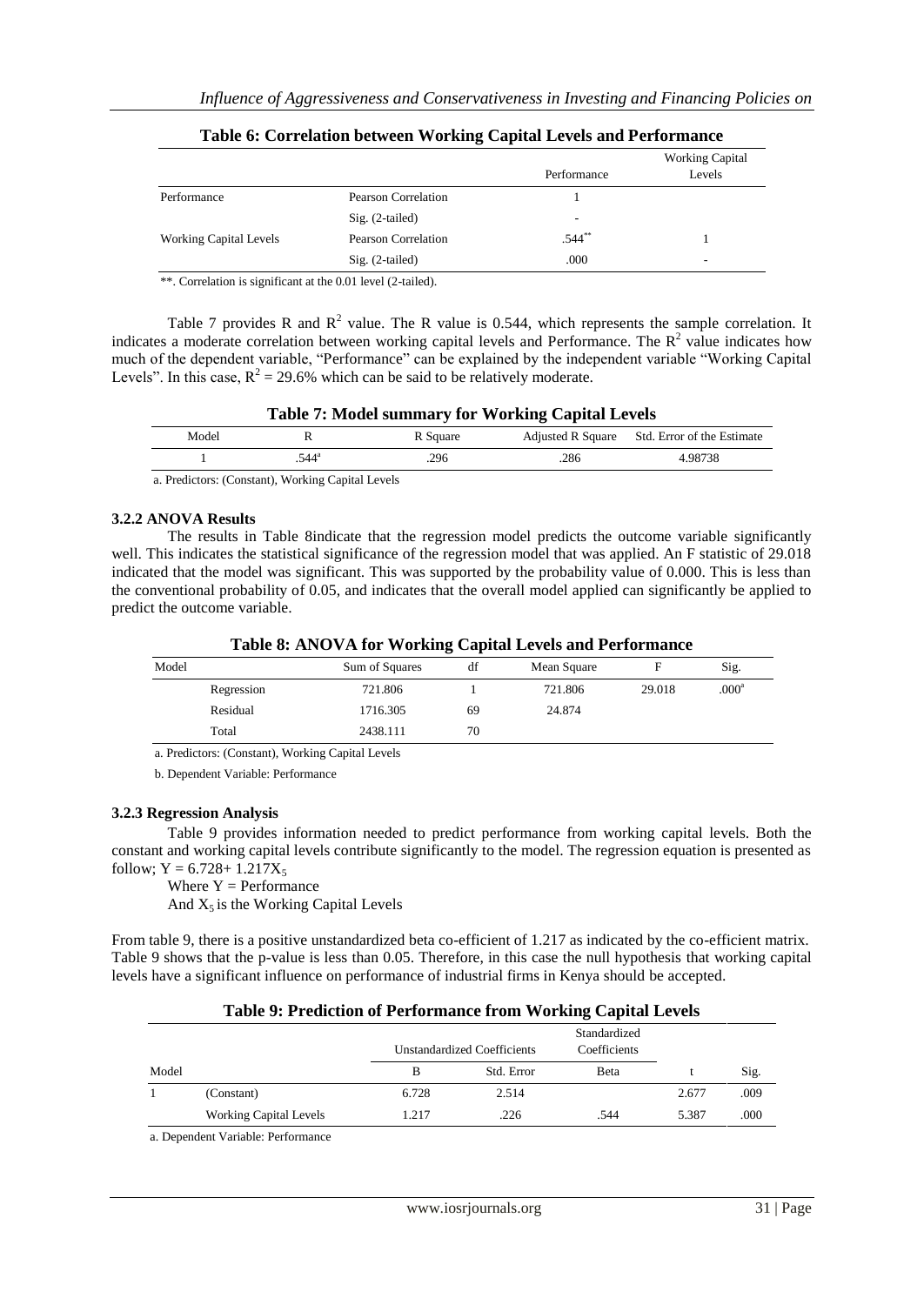|                               |                     | Performance | <b>Working Capital</b><br>Levels |
|-------------------------------|---------------------|-------------|----------------------------------|
| Performance                   | Pearson Correlation |             |                                  |
|                               | $Sig. (2-tailed)$   |             |                                  |
| <b>Working Capital Levels</b> | Pearson Correlation | $.544***$   |                                  |
|                               | $Sig. (2-tailed)$   | .000        | -                                |

|  |  |  |  |  |  | Table 6: Correlation between Working Capital Levels and Performance |  |
|--|--|--|--|--|--|---------------------------------------------------------------------|--|
|--|--|--|--|--|--|---------------------------------------------------------------------|--|

\*\*. Correlation is significant at the 0.01 level (2-tailed).

Table 7 provides R and  $\mathbb{R}^2$  value. The R value is 0.544, which represents the sample correlation. It indicates a moderate correlation between working capital levels and Performance. The  $R^2$  value indicates how much of the dependent variable, "Performance" can be explained by the independent variable "Working Capital Levels". In this case,  $R^2 = 29.6\%$  which can be said to be relatively moderate.

| <b>Table 7: Model summary for Working Capital Levels</b> |                    |          |      |                                              |  |  |  |  |
|----------------------------------------------------------|--------------------|----------|------|----------------------------------------------|--|--|--|--|
| Model                                                    |                    | R Square |      | Adjusted R Square Std. Error of the Estimate |  |  |  |  |
|                                                          | $544$ <sup>a</sup> | .296     | .286 | 4.98738                                      |  |  |  |  |

a. Predictors: (Constant), Working Capital Levels

#### **3.2.2 ANOVA Results**

The results in Table 8indicate that the regression model predicts the outcome variable significantly well. This indicates the statistical significance of the regression model that was applied. An F statistic of 29.018 indicated that the model was significant. This was supported by the probability value of 0.000. This is less than the conventional probability of 0.05, and indicates that the overall model applied can significantly be applied to predict the outcome variable.

|       |            | Table 0. APO VATOR WORKing Capital Levels and I criticiance |    |             |        |                   |
|-------|------------|-------------------------------------------------------------|----|-------------|--------|-------------------|
| Model |            | Sum of Squares                                              | df | Mean Square |        | Sig.              |
|       | Regression | 721.806                                                     |    | 721.806     | 29.018 | .000 <sup>a</sup> |
|       | Residual   | 1716.305                                                    | 69 | 24.874      |        |                   |
|       | Total      | 2438.111                                                    | 70 |             |        |                   |

## **Table 8: ANOVA for Working Capital Levels and Performance**

a. Predictors: (Constant), Working Capital Levels

b. Dependent Variable: Performance

#### **3.2.3 Regression Analysis**

Table 9 provides information needed to predict performance from working capital levels. Both the constant and working capital levels contribute significantly to the model. The regression equation is presented as follow;  $Y = 6.728 + 1.217X_5$ 

Where  $Y =$  Performance And  $X_5$  is the Working Capital Levels

From table 9, there is a positive unstandardized beta co-efficient of 1.217 as indicated by the co-efficient matrix. Table 9 shows that the p-value is less than 0.05. Therefore, in this case the null hypothesis that working capital levels have a significant influence on performance of industrial firms in Kenya should be accepted.

## **Table 9: Prediction of Performance from Working Capital Levels**

|       |                                    |       | <b>Unstandardized Coefficients</b> | Standardized<br>Coefficients |       |      |  |
|-------|------------------------------------|-------|------------------------------------|------------------------------|-------|------|--|
| Model |                                    | в     | Std. Error                         | Beta                         |       | Sig. |  |
|       | (Constant)                         | 6.728 | 2.514                              |                              | 2.677 | .009 |  |
|       | <b>Working Capital Levels</b>      | 1.217 | .226                               | .544                         | 5.387 | .000 |  |
|       | a. Dependent Variable: Performance |       |                                    |                              |       |      |  |